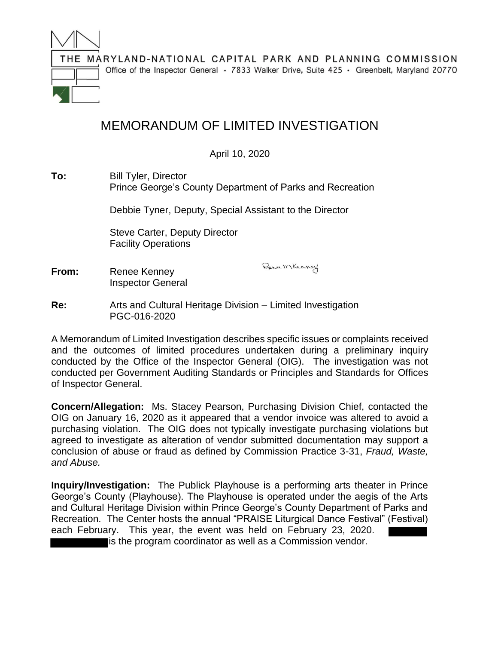

## MEMORANDUM OF LIMITED INVESTIGATION

April 10, 2020

## **To:** Bill Tyler, Director Prince George's County Department of Parks and Recreation

Debbie Tyner, Deputy, Special Assistant to the Director

Steve Carter, Deputy Director Facility Operations

**From:** Renee Kenney Inspector General Bence Mkenney

**Re:** Arts and Cultural Heritage Division – Limited Investigation PGC-016-2020

A Memorandum of Limited Investigation describes specific issues or complaints received and the outcomes of limited procedures undertaken during a preliminary inquiry conducted by the Office of the Inspector General (OIG). The investigation was not conducted per Government Auditing Standards or Principles and Standards for Offices of Inspector General.

**Concern/Allegation:** Ms. Stacey Pearson, Purchasing Division Chief, contacted the OIG on January 16, 2020 as it appeared that a vendor invoice was altered to avoid a purchasing violation. The OIG does not typically investigate purchasing violations but agreed to investigate as alteration of vendor submitted documentation may support a conclusion of abuse or fraud as defined by Commission Practice 3-31, *Fraud, Waste, and Abuse.*

**Inquiry/Investigation:** The Publick Playhouse is a performing arts theater in Prince George's County (Playhouse). The Playhouse is operated under the aegis of the Arts and Cultural Heritage Division within Prince George's County Department of Parks and Recreation. The Center hosts the annual "PRAISE Liturgical Dance Festival" (Festival) each February. This year, the event was held on February 23, 2020.

is the program coordinator as well as a Commission vendor.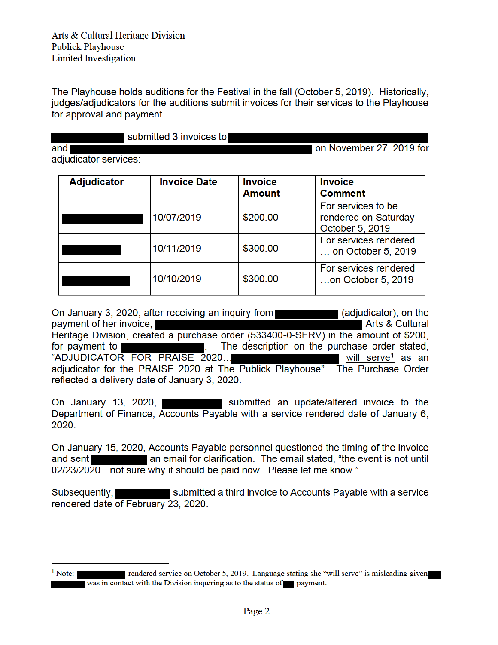The Playhouse holds auditions for the Festival in the fall (October 5, 2019). Historically, judges/adjudicators for the auditions submit invoices for their services to the Playhouse for approval and payment.

submitted 3 invoices to

on November 27, 2019 for

adjudicator services:

and

| <b>Adjudicator</b> | <b>Invoice Date</b> | <b>Invoice</b> | <b>Invoice</b>                                                |
|--------------------|---------------------|----------------|---------------------------------------------------------------|
|                    |                     | <b>Amount</b>  | <b>Comment</b>                                                |
|                    | 10/07/2019          | \$200.00       | For services to be<br>rendered on Saturday<br>October 5, 2019 |
|                    | 10/11/2019          | \$300.00       | For services rendered<br>on October 5, 2019                   |
|                    | 10/10/2019          | \$300.00       | For services rendered<br>on October 5, 2019                   |

(adjudicator), on the On January 3, 2020, after receiving an inquiry from payment of her invoice. Arts & Cultural Heritage Division, created a purchase order (533400-0-SERV) in the amount of \$200, The description on the purchase order stated. for payment to "ADJUDICATOR FOR PRAISE 2020...  $\blacksquare$  will serve ${}^1$  as an adjudicator for the PRAISE 2020 at The Publick Playhouse". The Purchase Order reflected a delivery date of January 3, 2020.

On January 13, 2020, submitted an update/altered invoice to the Department of Finance, Accounts Payable with a service rendered date of January 6, 2020.

On January 15, 2020, Accounts Payable personnel questioned the timing of the invoice an email for clarification. The email stated, "the event is not until and sent ∎ 02/23/2020...not sure why it should be paid now. Please let me know."

Subsequently, I submitted a third invoice to Accounts Payable with a service rendered date of February 23, 2020.

 $<sup>1</sup>$  Note:</sup>

rendered service on October 5, 2019. Language stating she "will serve" is misleading given was in contact with the Division inquiring as to the status of payment.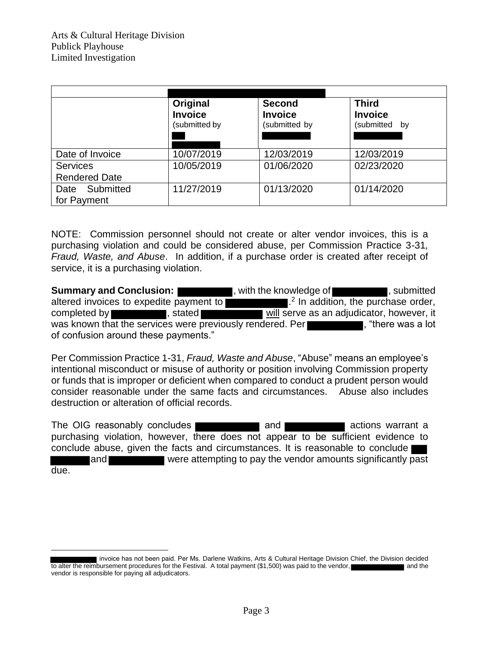|                                         | Original<br><b>Invoice</b><br>(submitted by | <b>Second</b><br><b>Invoice</b><br>(submitted by | <b>Third</b><br><b>Invoice</b><br>(submitted by |
|-----------------------------------------|---------------------------------------------|--------------------------------------------------|-------------------------------------------------|
| Date of Invoice                         | 10/07/2019                                  | 12/03/2019                                       | 12/03/2019                                      |
| <b>Services</b><br><b>Rendered Date</b> | 10/05/2019                                  | 01/06/2020                                       | 02/23/2020                                      |
| Date Submitted<br>for Payment           | 11/27/2019                                  | 01/13/2020                                       | 01/14/2020                                      |

NOTE: Commission personnel should not create or alter vendor invoices, this is a purchasing violation and could be considered abuse, per Commission Practice 3-31*, Fraud, Waste, and Abuse*. In addition, if a purchase order is created after receipt of service, it is a purchasing violation.

**Summary and Conclusion: Alternative in the knowledge of the submitted general submitted of**  $\blacksquare$ **, submitted** altered invoices to expedite payment to <sup>2</sup> In addition, the purchase order, completed by stated stated will serve as an adjudicator, however, it was known that the services were previously rendered. Per **the set of the was** a lot of confusion around these payments."

Per Commission Practice 1-31, *Fraud, Waste and Abuse*, "Abuse" means an employee's intentional misconduct or misuse of authority or position involving Commission property or funds that is improper or deficient when compared to conduct a prudent person would consider reasonable under the same facts and circumstances. Abuse also includes destruction or alteration of official records.

The OIG reasonably concludes and and actions warrant a purchasing violation, however, there does not appear to be sufficient evidence to conclude abuse, given the facts and circumstances. It is reasonable to conclude and were attempting to pay the vendor amounts significantly past due.

invoice has not been paid. Per Ms. Darlene Watkins, Arts & Cultural Heritage Division Chief, the Division decided to alter the reimbursement procedures for the Festival. A total payment (\$1,500) was paid to the vendor, vendor is responsible for paying all adjudicators.